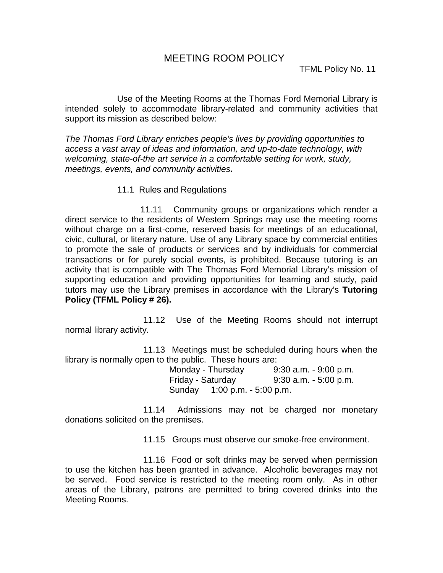Use of the Meeting Rooms at the Thomas Ford Memorial Library is intended solely to accommodate library-related and community activities that support its mission as described below:

*The Thomas Ford Library enriches people's lives by providing opportunities to access a vast array of ideas and information, and up-to-date technology, with welcoming, state-of-the art service in a comfortable setting for work, study, meetings, events, and community activities***.**

## 11.1 Rules and Regulations

 11.11 Community groups or organizations which render a direct service to the residents of Western Springs may use the meeting rooms without charge on a first-come, reserved basis for meetings of an educational, civic, cultural, or literary nature. Use of any Library space by commercial entities to promote the sale of products or services and by individuals for commercial transactions or for purely social events, is prohibited. Because tutoring is an activity that is compatible with The Thomas Ford Memorial Library's mission of supporting education and providing opportunities for learning and study, paid tutors may use the Library premises in accordance with the Library's **Tutoring Policy (TFML Policy # 26).**

11.12 Use of the Meeting Rooms should not interrupt normal library activity.

11.13 Meetings must be scheduled during hours when the library is normally open to the public. These hours are:

Monday - Thursday 9:30 a.m. - 9:00 p.m. Friday - Saturday 9:30 a.m. - 5:00 p.m. Sunday 1:00 p.m. - 5:00 p.m.

11.14 Admissions may not be charged nor monetary donations solicited on the premises.

11.15 Groups must observe our smoke-free environment.

11.16 Food or soft drinks may be served when permission to use the kitchen has been granted in advance. Alcoholic beverages may not be served. Food service is restricted to the meeting room only. As in other areas of the Library, patrons are permitted to bring covered drinks into the Meeting Rooms.